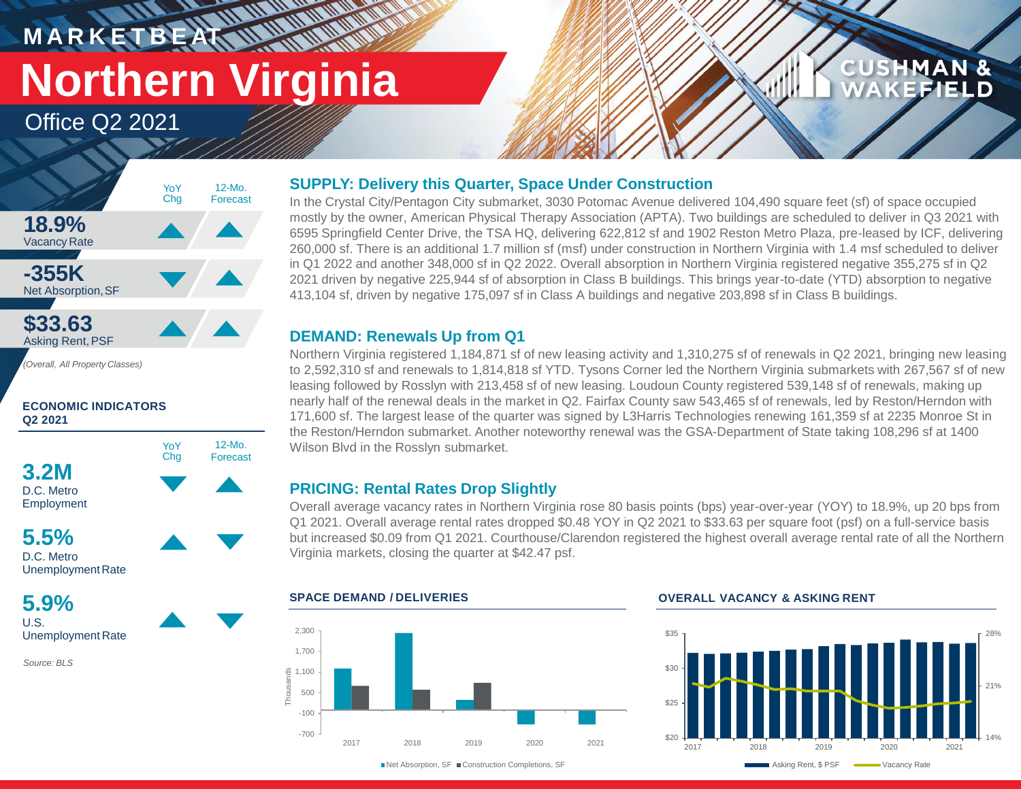# **M A R K E T B E AT Northern Virginia**

**HAMMAR** 

12-Mo.

Office Q2 2021



*(Overall, All Property Classes)*

# **ECONOMIC INDICATORS Q2 2021**





UnemploymentRate

**5.9%** U.S. Unemployment Rate

*Source: BLS*

# **SUPPLY: Delivery this Quarter, Space Under Construction**

In the Crystal City/Pentagon City submarket, 3030 Potomac Avenue delivered 104,490 square feet (sf) of space occupied mostly by the owner, American Physical Therapy Association (APTA). Two buildings are scheduled to deliver in Q3 2021 with 6595 Springfield Center Drive, the TSA HQ, delivering 622,812 sf and 1902 Reston Metro Plaza, pre-leased by ICF, delivering 260,000 sf. There is an additional 1.7 million sf (msf) under construction in Northern Virginia with 1.4 msf scheduled to deliver in Q1 2022 and another 348,000 sf in Q2 2022. Overall absorption in Northern Virginia registered negative 355,275 sf in Q2 2021 driven by negative 225,944 sf of absorption in Class B buildings. This brings year-to-date (YTD) absorption to negative 413,104 sf, driven by negative 175,097 sf in Class A buildings and negative 203,898 sf in Class B buildings.

# **DEMAND: Renewals Up from Q1**

Northern Virginia registered 1,184,871 sf of new leasing activity and 1,310,275 sf of renewals in Q2 2021, bringing new leasing to 2,592,310 sf and renewals to 1,814,818 sf YTD. Tysons Corner led the Northern Virginia submarkets with 267,567 sf of new leasing followed by Rosslyn with 213,458 sf of new leasing. Loudoun County registered 539,148 sf of renewals, making up nearly half of the renewal deals in the market in Q2. Fairfax County saw 543,465 sf of renewals, led by Reston/Herndon with 171,600 sf. The largest lease of the quarter was signed by L3Harris Technologies renewing 161,359 sf at 2235 Monroe St in the Reston/Herndon submarket. Another noteworthy renewal was the GSA-Department of State taking 108,296 sf at 1400 Wilson Blvd in the Rosslyn submarket.

# **PRICING: Rental Rates Drop Slightly**

Overall average vacancy rates in Northern Virginia rose 80 basis points (bps) year-over-year (YOY) to 18.9%, up 20 bps from Q1 2021. Overall average rental rates dropped \$0.48 YOY in Q2 2021 to \$33.63 per square foot (psf) on a full-service basis but increased \$0.09 from Q1 2021. Courthouse/Clarendon registered the highest overall average rental rate of all the Northern Virginia markets, closing the quarter at \$42.47 psf.



# **SPACE DEMAND / DELIVERIES OVERALL VACANCY & ASKING RENT**



**CUSHMAN &** 

**CEFIELD** 

■Net Absorption, SF ■ Construction Completions, SF